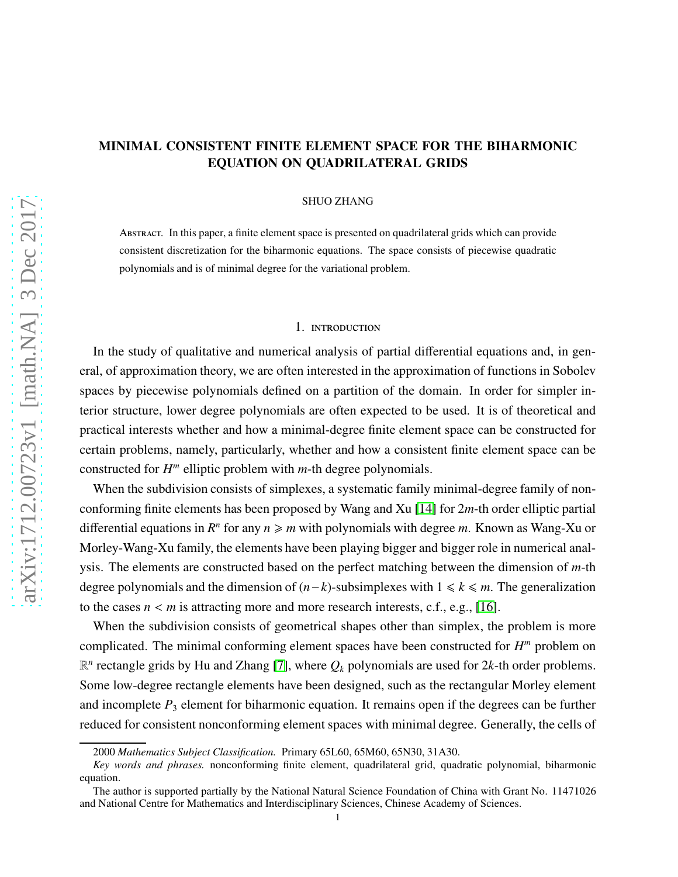# arXiv:1712.00723v1 [math.NA] 3 Dec 2017 [arXiv:1712.00723v1 \[math.NA\] 3 Dec 2017](http://arxiv.org/abs/1712.00723v1)

# MINIMAL CONSISTENT FINITE ELEMENT SPACE FOR THE BIHARMONIC EQUATION ON QUADRILATERAL GRIDS

SHUO ZHANG

Abstract. In this paper, a finite element space is presented on quadrilateral grids which can provide consistent discretization for the biharmonic equations. The space consists of piecewise quadratic polynomials and is of minimal degree for the variational problem.

# 1. introduction

In the study of qualitative and numerical analysis of partial differential equations and, in general, of approximation theory, we are often interested in the approximation of functions in Sobolev spaces by piecewise polynomials defined on a partition of the domain. In order for simpler interior structure, lower degree polynomials are often expected to be used. It is of theoretical and practical interests whether and how a minimal-degree finite element space can be constructed for certain problems, namely, particularly, whether and how a consistent finite element space can be constructed for *H m* elliptic problem with *m*-th degree polynomials.

When the subdivision consists of simplexes, a systematic family minimal-degree family of nonconforming finite elements has been proposed by Wang and Xu [\[14\]](#page-18-0) for 2*m*-th order elliptic partial differential equations in  $R^n$  for any  $n \ge m$  with polynomials with degree m. Known as Wang-Xu or Morley-Wang-Xu family, the elements have been playing bigger and bigger role in numerical analysis. The elements are constructed based on the perfect matching between the dimension of *m*-th degree polynomials and the dimension of  $(n-k)$ -subsimplexes with  $1 \le k \le m$ . The generalization to the cases  $n < m$  is attracting more and more research interests, c.f., e.g., [\[16\]](#page-18-1).

When the subdivision consists of geometrical shapes other than simplex, the problem is more complicated. The minimal conforming element spaces have been constructed for *H <sup>m</sup>* problem on  $\mathbb{R}^n$  rectangle grids by Hu and Zhang [\[7\]](#page-18-2), where  $Q_k$  polynomials are used for 2k-th order problems. Some low-degree rectangle elements have been designed, such as the rectangular Morley element and incomplete *P*<sup>3</sup> element for biharmonic equation. It remains open if the degrees can be further reduced for consistent nonconforming element spaces with minimal degree. Generally, the cells of

<sup>2000</sup> *Mathematics Subject Classification.* Primary 65L60, 65M60, 65N30, 31A30.

*Key words and phrases.* nonconforming finite element, quadrilateral grid, quadratic polynomial, biharmonic equation.

The author is supported partially by the National Natural Science Foundation of China with Grant No. 11471026 and National Centre for Mathematics and Interdisciplinary Sciences, Chinese Academy of Sciences.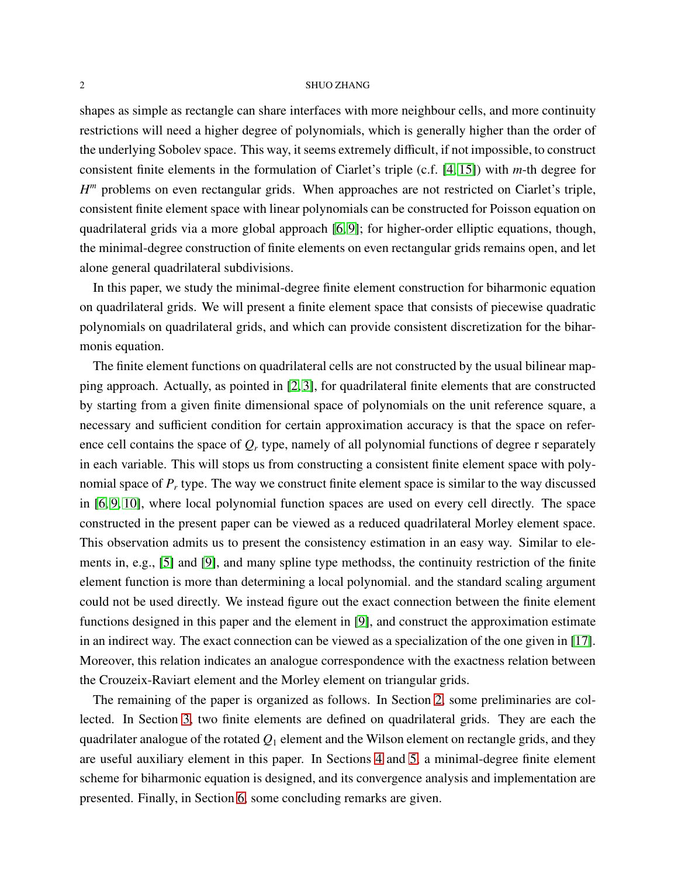shapes as simple as rectangle can share interfaces with more neighbour cells, and more continuity restrictions will need a higher degree of polynomials, which is generally higher than the order of the underlying Sobolev space. This way, it seems extremely difficult, if not impossible, to construct consistent finite elements in the formulation of Ciarlet's triple (c.f. [\[4,](#page-18-3) [15\]](#page-18-4)) with *m*-th degree for *H<sup>m</sup>* problems on even rectangular grids. When approaches are not restricted on Ciarlet's triple, consistent finite element space with linear polynomials can be constructed for Poisson equation on quadrilateral grids via a more global approach [\[6,](#page-18-5) [9\]](#page-18-6); for higher-order elliptic equations, though, the minimal-degree construction of finite elements on even rectangular grids remains open, and let alone general quadrilateral subdivisions.

In this paper, we study the minimal-degree finite element construction for biharmonic equation on quadrilateral grids. We will present a finite element space that consists of piecewise quadratic polynomials on quadrilateral grids, and which can provide consistent discretization for the biharmonis equation.

The finite element functions on quadrilateral cells are not constructed by the usual bilinear mapping approach. Actually, as pointed in [\[2,](#page-18-7) [3\]](#page-18-8), for quadrilateral finite elements that are constructed by starting from a given finite dimensional space of polynomials on the unit reference square, a necessary and sufficient condition for certain approximation accuracy is that the space on reference cell contains the space of *Q<sup>r</sup>* type, namely of all polynomial functions of degree r separately in each variable. This will stops us from constructing a consistent finite element space with polynomial space of *P<sup>r</sup>* type. The way we construct finite element space is similar to the way discussed in [\[6,](#page-18-5) [9,](#page-18-6) [10\]](#page-18-9), where local polynomial function spaces are used on every cell directly. The space constructed in the present paper can be viewed as a reduced quadrilateral Morley element space. This observation admits us to present the consistency estimation in an easy way. Similar to elements in, e.g., [\[5\]](#page-18-10) and [\[9\]](#page-18-6), and many spline type methodss, the continuity restriction of the finite element function is more than determining a local polynomial. and the standard scaling argument could not be used directly. We instead figure out the exact connection between the finite element functions designed in this paper and the element in [\[9\]](#page-18-6), and construct the approximation estimate in an indirect way. The exact connection can be viewed as a specialization of the one given in [\[17\]](#page-18-11). Moreover, this relation indicates an analogue correspondence with the exactness relation between the Crouzeix-Raviart element and the Morley element on triangular grids.

The remaining of the paper is organized as follows. In Section [2,](#page-2-0) some preliminaries are collected. In Section [3,](#page-6-0) two finite elements are defined on quadrilateral grids. They are each the quadrilater analogue of the rotated *Q*<sup>1</sup> element and the Wilson element on rectangle grids, and they are useful auxiliary element in this paper. In Sections [4](#page-9-0) and [5,](#page-13-0) a minimal-degree finite element scheme for biharmonic equation is designed, and its convergence analysis and implementation are presented. Finally, in Section [6,](#page-17-0) some concluding remarks are given.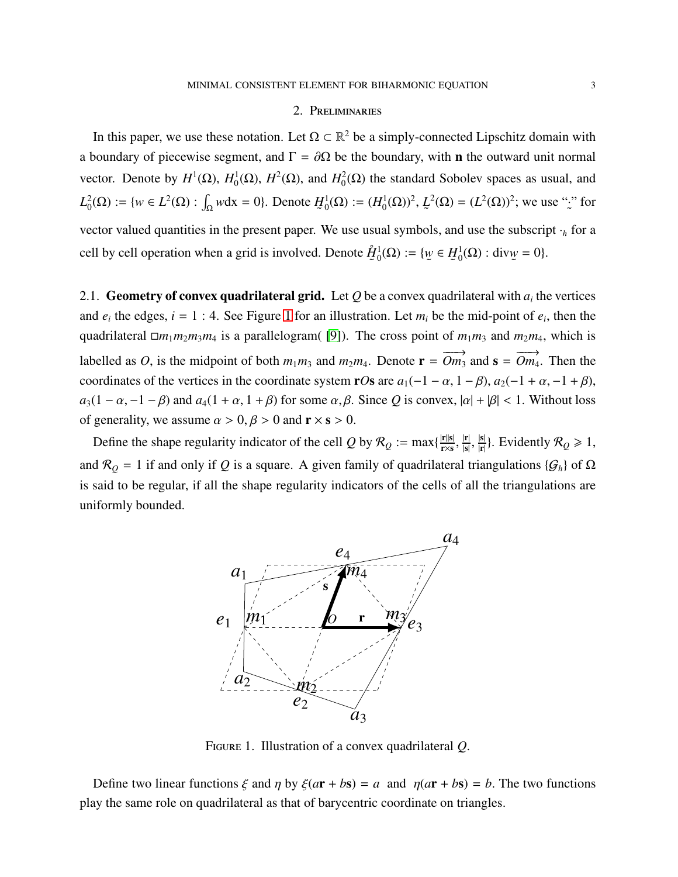# 2. Preliminaries

<span id="page-2-0"></span>In this paper, we use these notation. Let  $\Omega \subset \mathbb{R}^2$  be a simply-connected Lipschitz domain with a boundary of piecewise segment, and  $\Gamma = \partial \Omega$  be the boundary, with **n** the outward unit normal vector. Denote by  $H^1(\Omega)$ ,  $H_0^1$ <sup>1</sup><sub>0</sub>(Ω), *H*<sup>2</sup>(Ω), and *H*<sub>0</sub><sup>2</sup>  $^2_0(\Omega)$  the standard Sobolev spaces as usual, and  $L_0^2(\Omega) := \{ w \in L^2(\Omega) : \int_{\Omega} w \, dx = 0 \}.$  Denote *H* ˜  $\iota_0^1(Ω) := (H_0^1(Ω))^2, L_2^1$ ˜  $2^2(\Omega) = (L^2(\Omega))^2$ ; we use ":  $\ddot{\phantom{0}}$ " for vector valued quantities in the present paper. We use usual symbols, and use the subscript ·*<sup>h</sup>* for a cell by cell operation when a grid is involved. Denote *H*˚  $\ddot{\phantom{0}}$ 1  $_{0}^{1}(\Omega) := \{ \psi$ ˜ ∈ *H*  $\tilde{\ }$ 1  $_{0}^{1}(\Omega)$  : div $\psi$ ˜  $= 0$ .

2.1. Geometry of convex quadrilateral grid. Let  $Q$  be a convex quadrilateral with  $a_i$  the vertices and  $e_i$  the edges,  $i = 1 : 4$  $i = 1 : 4$  $i = 1 : 4$ . See Figure 1 for an illustration. Let  $m_i$  be the mid-point of  $e_i$ , then the quadrilateral  $\Box m_1 m_2 m_3 m_4$  is a parallelogram( [\[9\]](#page-18-6)). The cross point of  $m_1 m_3$  and  $m_2 m_4$ , which is labelled as *O*, is the midpoint of both  $m_1m_3$  and  $m_2m_4$ . Denote  $\mathbf{r} = \overrightarrow{Om_3}$  and  $\mathbf{s} = \overrightarrow{Om_4}$ *Om*4. Then the coordinates of the vertices in the coordinate system r*Os* are  $a_1(-1 - \alpha, 1 - \beta), a_2(-1 + \alpha, -1 + \beta)$ ,  $a_3(1 - \alpha, -1 - \beta)$  and  $a_4(1 + \alpha, 1 + \beta)$  for some  $\alpha, \beta$ . Since *Q* is convex,  $|\alpha| + |\beta| < 1$ . Without loss of generality, we assume  $\alpha > 0$ ,  $\beta > 0$  and  $\mathbf{r} \times \mathbf{s} > 0$ .

Define the shape regularity indicator of the cell Q by  $\mathcal{R}_Q := \max\{\frac{|\mathbf{r}||\mathbf{s}|}{r \times s}$  $\frac{|\mathbf{r}||\mathbf{s}|}{\mathbf{r}\times\mathbf{s}},\frac{|\mathbf{r}|}{|\mathbf{s}|}$  $\frac{|\mathbf{r}|}{|\mathbf{s}|}, \frac{|\mathbf{s}|}{|\mathbf{r}|}$  $\frac{|s|}{|r|}$ . Evidently  $\mathcal{R}_Q \ge 1$ , and  $\mathcal{R}_Q = 1$  if and only if *Q* is a square. A given family of quadrilateral triangulations { $\mathcal{G}_h$ } of  $\Omega$ is said to be regular, if all the shape regularity indicators of the cells of all the triangulations are uniformly bounded.



<span id="page-2-1"></span>Figure 1. Illustration of a convex quadrilateral *Q*.

Define two linear functions  $\xi$  and  $\eta$  by  $\xi(a\mathbf{r} + b\mathbf{s}) = a$  and  $\eta(a\mathbf{r} + b\mathbf{s}) = b$ . The two functions play the same role on quadrilateral as that of barycentric coordinate on triangles.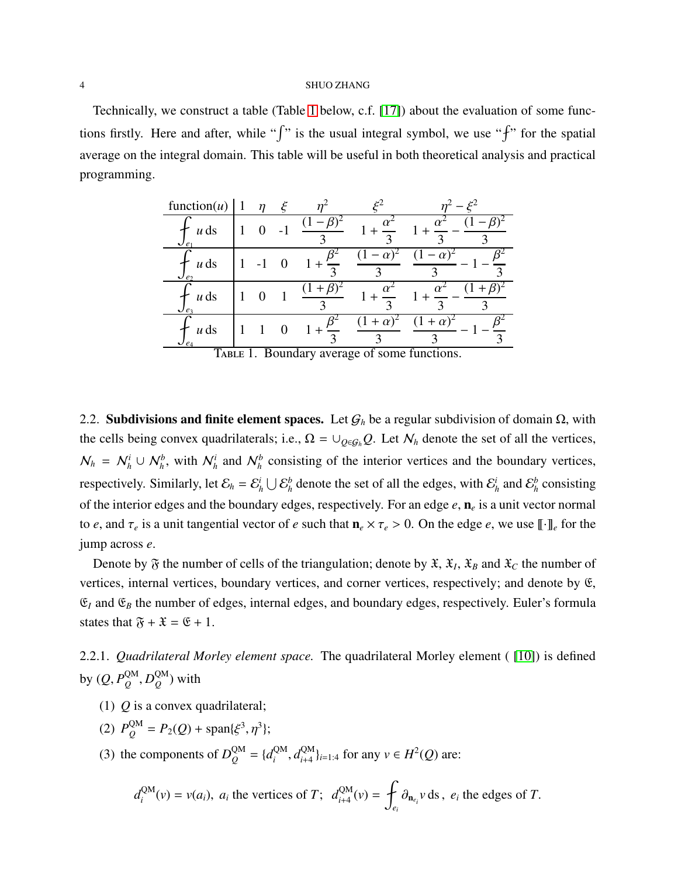Technically, we construct a table (Table [1](#page-3-0) below, c.f. [\[17\]](#page-18-11)) about the evaluation of some functions firstly. Here and after, while " $\int$ " is the usual integral symbol, we use " $\int$ " for the spatial average on the integral domain. This table will be useful in both theoretical analysis and practical programming.

| function $(u)$                                               |   | $\eta$ | ع                |                   | $\mathcal{E}^2$                         |
|--------------------------------------------------------------|---|--------|------------------|-------------------|-----------------------------------------|
| $u$ ds<br>$\mathcal{U}e_1$                                   |   |        |                  | $\mathbf{\Omega}$ |                                         |
| $u$ ds<br>$\mathcal{U}e_2$                                   |   |        |                  |                   |                                         |
| $u$ ds<br>$\bigcup e_3$                                      |   |        |                  | $\mathbf{\Omega}$ |                                         |
| $u$ ds<br>$\mathcal{Q}_{\ell_4}$<br>$\overline{\phantom{a}}$ | 1 |        | $\overline{D}$ 1 |                   | $\alpha$<br>$\sim$ $\sim$ $\sim$ $\sim$ |

<span id="page-3-0"></span>TABLE 1. Boundary average of some functions.

2.2. Subdivisions and finite element spaces. Let  $G_h$  be a regular subdivision of domain  $\Omega$ , with the cells being convex quadrilaterals; i.e.,  $\Omega = \cup_{Q \in G_h} Q$ . Let  $N_h$  denote the set of all the vertices,  $N_h = N_h^i \cup N_h^b$ , with  $N_h^i$  and  $N_h^b$  consisting of the interior vertices and the boundary vertices, respectively. Similarly, let  $\mathcal{E}_h = \mathcal{E}_h^i$  $\frac{i}{h} \bigcup \mathcal{E}_h^b$  $\frac{b}{h}$  denote the set of all the edges, with  $\mathcal{E}^i_h$  $\frac{i}{h}$  and  $\mathcal{E}_h^b$ *h* consisting of the interior edges and the boundary edges, respectively. For an edge *e*, n*<sup>e</sup>* is a unit vector normal to *e*, and  $\tau_e$  is a unit tangential vector of *e* such that  $n_e \times \tau_e > 0$ . On the edge *e*, we use  $[\![\cdot]\!]_e$  for the jump across *e*.

Denote by  $\mathfrak F$  the number of cells of the triangulation; denote by  $\mathfrak X$ ,  $\mathfrak X_I$ ,  $\mathfrak X_B$  and  $\mathfrak X_C$  the number of vertices, internal vertices, boundary vertices, and corner vertices, respectively; and denote by E,  $\mathfrak{E}_I$  and  $\mathfrak{E}_B$  the number of edges, internal edges, and boundary edges, respectively. Euler's formula states that  $\mathfrak{F} + \mathfrak{X} = \mathfrak{E} + 1$ .

2.2.1. *Quadrilateral Morley element space.* The quadrilateral Morley element ( [\[10\]](#page-18-9)) is defined by  $(Q, P_Q^{\text{QM}})$  $_Q^{\rm QM}, D_Q^{\rm QM}$ *Q* ) with

- (1) *Q* is a convex quadrilateral;
- (2)  $P_Q^{\text{QM}} = P_2(Q) + \text{span}\{\xi^3, \eta^3\};$
- (3) the components of  $D_Q^{QM} = \{d_i^{QM}\}$  $\int_i^{\text{QM}} d_{i+4}^{\text{QM}}$  $\{Q^M\}_{i=1:4}$  for any *v* ∈ *H*<sup>2</sup>(*Q*) are:

$$
d_i^{\text{QM}}(v) = v(a_i)
$$
,  $a_i$  the vertices of T;  $d_{i+4}^{\text{QM}}(v) = \int_{e_i} \partial_{\mathbf{n}_{e_i}} v \, ds$ ,  $e_i$  the edges of T.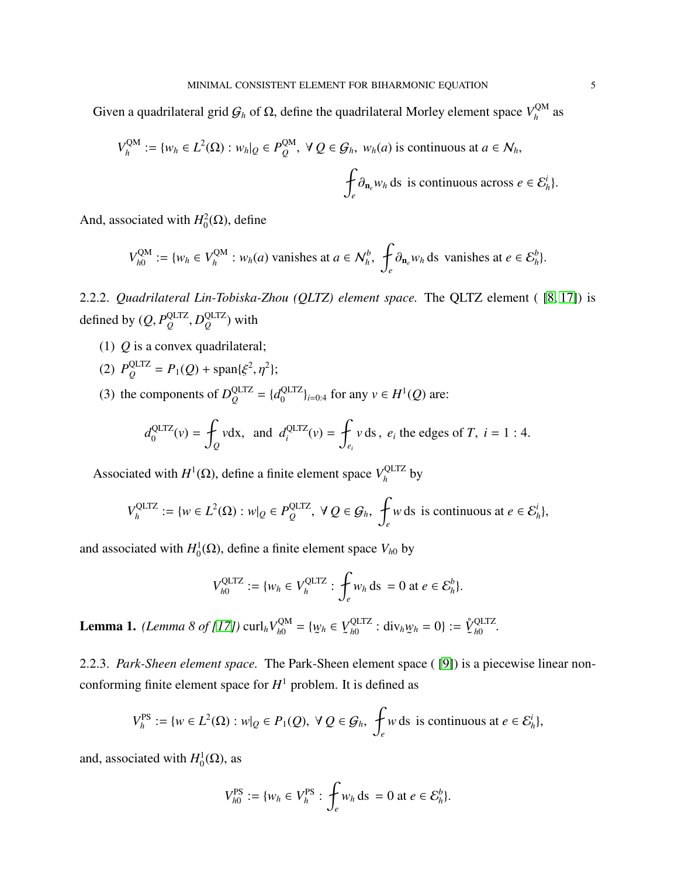Given a quadrilateral grid  $G_h$  of Ω, define the quadrilateral Morley element space  $V_h^{\text{QM}}$  $h^{\text{QM}}$  as

$$
V_h^{\text{QM}} := \{ w_h \in L^2(\Omega) : w_h|_{Q} \in P_Q^{\text{QM}}, \ \forall \ Q \in \mathcal{G}_h, \ w_h(a) \text{ is continuous at } a \in \mathcal{N}_h, \}
$$

$$
\oint_e \partial_{\mathbf{n}_e} w_h \, ds \text{ is continuous across } e \in \mathcal{E}_h^i \}.
$$

And, associated with  $H_0^2$  ${}^2_0(\Omega)$ , define

$$
V_{h0}^{\text{QM}} := \{w_h \in V_h^{\text{QM}} : w_h(a) \text{ vanishes at } a \in \mathcal{N}_h^b, \ \int_e \partial_{\mathbf{n}_e} w_h \text{ ds vanishes at } e \in \mathcal{E}_h^b\}.
$$

2.2.2. *Quadrilateral Lin-Tobiska-Zhou (QLTZ) element space.* The QLTZ element ( [\[8,](#page-18-12) [17\]](#page-18-11)) is defined by  $(Q, P_Q^{\text{QLTZ}})$ *Q* , *D* QLTZ *Q* ) with

- (1) *Q* is a convex quadrilateral;
- (2)  $P_Q^{\text{QLTZ}} = P_1(Q) + \text{span}\{\xi^2, \eta^2\};$
- (3) the components of  $D_Q^{\text{QLTZ}} = \{d_0^{\text{QLTZ}}\}$  $\{QLIZ\}}_{i=0:4}$  for any  $v \in H^1(Q)$  are:

$$
d_0^{\text{QLTZ}}(v) = \oint_Q v \, \mathrm{d}x, \text{ and } d_i^{\text{QLTZ}}(v) = \oint_{e_i} v \, \mathrm{d}s, \ e_i \text{ the edges of } T, \ i = 1:4.
$$

Associated with  $H^1(\Omega)$ , define a finite element space  $V_h^{\text{QLTZ}}$  $h_h^{\text{QLL}}$  by

$$
V_h^{\text{QLTZ}} := \{ w \in L^2(\Omega) : w|_{Q} \in P_Q^{\text{QLTZ}}, \ \forall \ Q \in \mathcal{G}_h, \ \int_e w \, \text{ds is continuous at } e \in \mathcal{E}_h^i \},
$$

and associated with  $H_0^1$  $\mathcal{O}_0^1(\Omega)$ , define a finite element space  $V_{h0}$  by

$$
V_{h0}^{\text{QLTZ}} := \{w_h \in V_h^{\text{QLTZ}} : \int_e w_h \, \text{ds} = 0 \text{ at } e \in \mathcal{E}_h^b\}.
$$

<span id="page-4-0"></span>**Lemma 1.** *(Lemma 8 of [\[17\]](#page-18-11))* curl<sub>h</sub>  $V_{h0}^{QM}$  $_{h0}^{QM} = \{w\}$ ˜ *<sup>h</sup>* ∈ *V* ˜ QLTZ  $\frac{QL1Z}{h0}$  : div<sub>h</sub>*w* ˜  $\hat{y}_h = 0$ } :=  $\hat{V}$ ˜ QLTZ *h*0 *.*

2.2.3. *Park-Sheen element space.* The Park-Sheen element space ( [\[9\]](#page-18-6)) is a piecewise linear nonconforming finite element space for  $H^1$  problem. It is defined as

$$
V_h^{\text{PS}} := \{ w \in L^2(\Omega) : w|_{Q} \in P_1(Q), \ \forall \ Q \in \mathcal{G}_h, \ \int_e w \, ds \ \text{is continuous at } e \in \mathcal{E}_h^i \},
$$

and, associated with  $H_0^1$  ${}^1_0(\Omega)$ , as

$$
V_{h0}^{\mathrm{PS}} := \{w_h \in V_h^{\mathrm{PS}} : \int_e w_h \, \mathrm{d} s = 0 \, \mathrm{at} \, e \in \mathcal{E}_h^b\}.
$$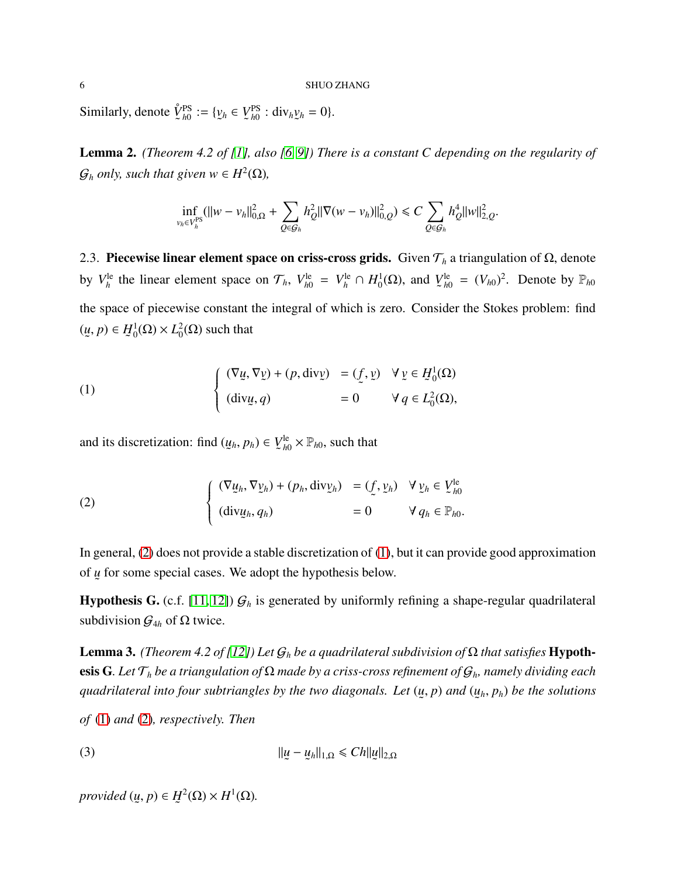Similarly, denote  $\mathring{V}$ ˜ PS  $_{h0}^{PS} := \{ \underline{v}$ ˜ *<sup>h</sup>* ∈ *V* ˜ PS  $_{h0}^{\text{PS}}$  : div<sub>h</sub>*y* ˜  $h = 0$ .

Lemma 2. *(Theorem 4.2 of [\[1\]](#page-18-13), also [\[6,](#page-18-5) [9\]](#page-18-6)) There is a constant C depending on the regularity of*  $\mathcal{G}_h$  *only, such that given*  $w \in H^2(\Omega)$ *,* 

$$
\inf_{v_h \in V_h^{\text{PS}}} (||w - v_h||_{0,\Omega}^2 + \sum_{Q \in \mathcal{G}_h} h_Q^2 ||\nabla (w - v_h)||_{0,Q}^2) \leq C \sum_{Q \in \mathcal{G}_h} h_Q^4 ||w||_{2,Q}^2.
$$

2.3. Piecewise linear element space on criss-cross grids. Given T*<sup>h</sup>* a triangulation of Ω, denote by  $V_h^{\text{le}}$  $_{h}^{\text{le}}$  the linear element space on  $\mathcal{T}_h$ ,  $V_{h0}^{\text{le}}$  $V_{h0}^{\text{le}} = V_h^{\text{le}} ∩ H_0^1$  $i_0^1(\Omega)$ , and *V* ˜ le  $\int_{h0}^{he} = (V_{h0})^2$ . Denote by  $\mathbb{P}_{h0}$ the space of piecewise constant the integral of which is zero. Consider the Stokes problem: find (*u* ˜  $, p) \in H$ ˜ 1  $l_0^1(\Omega) \times L_0^2$  $^2_0(\Omega)$  such that

<span id="page-5-1"></span>(1)  
\n
$$
\begin{cases}\n(\nabla \underline{u}, \nabla \underline{v}) + (p, \text{div}\underline{v}) &= (\underline{f}, \underline{v}) \quad \forall \underline{v} \in \underline{H}_0^1(\Omega) \\
(\text{div}\underline{u}, q) &= 0 \quad \forall q \in L_0^2(\Omega),\n\end{cases}
$$

and its discretization: find (*u* ˜  $(p_h, p_h) \in V$ ˜ le  $\mathcal{L}_{h0}^{\text{le}} \times \mathbb{P}_{h0}$ , such that

<span id="page-5-0"></span>(2) 
$$
\begin{cases} (\nabla \underline{u}_h, \nabla \underline{v}_h) + (p_h, \text{div} \underline{v}_h) & = (\underline{f}, \underline{v}_h) \quad \forall \underline{v}_h \in \underline{V}_{h0}^{\text{le}} \\ (\text{div} \underline{u}_h, q_h) & = 0 \quad \forall q_h \in \mathbb{P}_{h0}. \end{cases}
$$

In general, [\(2\)](#page-5-0) does not provide a stable discretization of [\(1\)](#page-5-1), but it can provide good approximation of *u* ˜ for some special cases. We adopt the hypothesis below.

**Hypothesis G.** (c.f. [\[11,](#page-18-14) [12\]](#page-18-15))  $\mathcal{G}_h$  is generated by uniformly refining a shape-regular quadrilateral subdivision  $G_{4h}$  of  $\Omega$  twice.

<span id="page-5-2"></span>Lemma 3. *(Theorem 4.2 of [\[12\]](#page-18-15)) Let* G*<sup>h</sup> be a quadrilateral subdivision of* Ω *that satisfies* Hypothesis G*. Let* T*<sup>h</sup> be a triangulation of* Ω *made by a criss-cross refinement of* G*h, namely dividing each quadrilateral into four subtriangles by the two diagonals. Let* (*u* ˜ , *p*) *and* (*u* ˜ *<sup>h</sup>*, *ph*) *be the solutions*

*of* [\(1\)](#page-5-1) *and* [\(2\)](#page-5-0)*, respectively. Then*

$$
||\underline{u} - \underline{u}_h||_{1,\Omega} \leq C h ||\underline{u}||_{2,\Omega}
$$

*provided* (*u* ˜  $, p) \in H$ ˜  $^{2}(\Omega)\times H^{1}(\Omega).$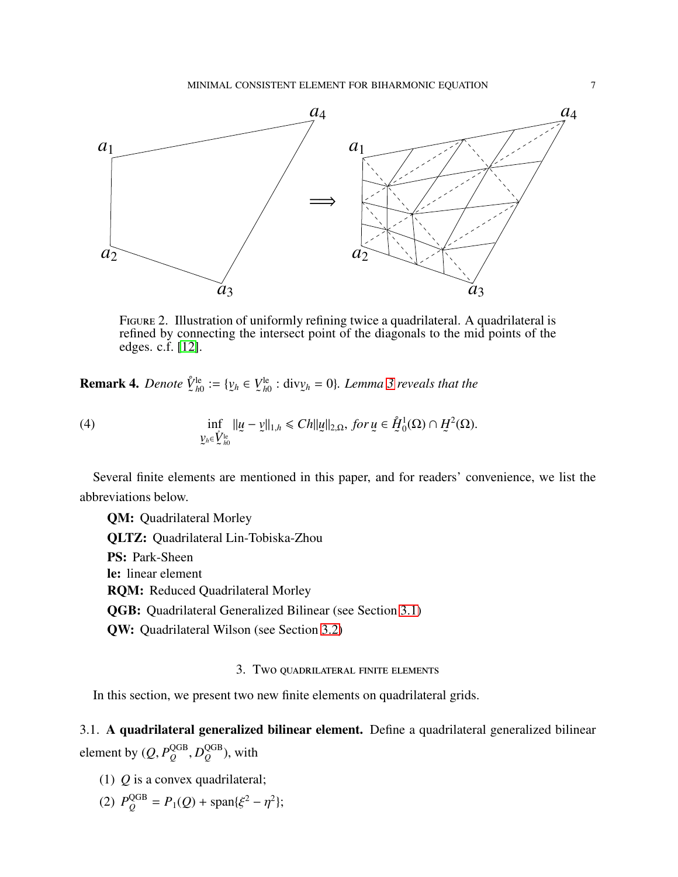

FIGURE 2. Illustration of uniformly refining twice a quadrilateral. A quadrilateral is refined by connecting the intersect point of the diagonals to the mid points of the edges. c.f. [\[12\]](#page-18-15).

Remark 4. *Denote V*˚ ˜ le  $_{h0}^{le} := \{ y$ ˜ *<sup>h</sup>* ∈ *V* ˜ le *h*0 : div*v* ˜ *<sup>h</sup>* = 0}*. Lemma [3](#page-5-2) reveals that the*

(4) 
$$
\inf_{\substack{y_h \in V_h^{\text{le}} \\ \mathcal{L} \neq 0}} \|u - v\|_{1,h} \leqslant Ch \|u\|_{2,\Omega}, \text{ for } u \in \mathring{H}_0^1(\Omega) \cap H^2(\Omega).
$$

Several finite elements are mentioned in this paper, and for readers' convenience, we list the abbreviations below.

QM: Quadrilateral Morley QLTZ: Quadrilateral Lin-Tobiska-Zhou PS: Park-Sheen le: linear element RQM: Reduced Quadrilateral Morley QGB: Quadrilateral Generalized Bilinear (see Section [3.1\)](#page-6-1) QW: Quadrilateral Wilson (see Section [3.2\)](#page-9-1)

# 3. Two quadrilateral finite elements

<span id="page-6-0"></span>In this section, we present two new finite elements on quadrilateral grids.

<span id="page-6-1"></span>3.1. A quadrilateral generalized bilinear element. Define a quadrilateral generalized bilinear element by  $(Q, P_Q^{\text{QGB}})$ *Q* , *D* QGB *Q* ), with

- (1) *Q* is a convex quadrilateral;
- (2)  $P_Q^{\text{QGB}} = P_1(Q) + \text{span}\{\xi^2 \eta^2\};$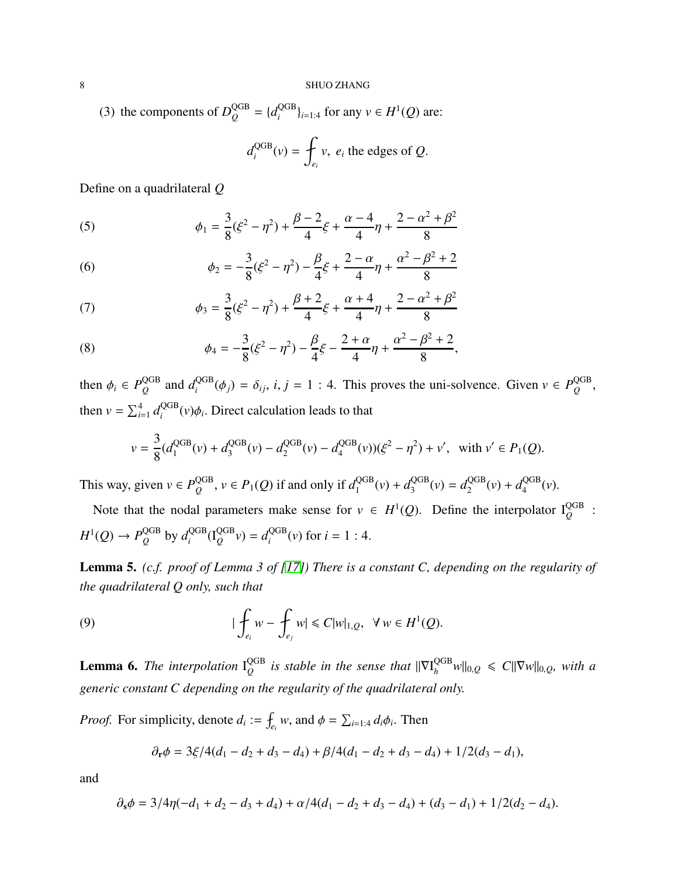(3) the components of  $D_Q^{\text{QGB}} = \{d_i^{\text{QGB}}\}$  $\{Q^{GB}\}_{i=1:4}$  for any  $v \in H^1(Q)$  are:

$$
d_i^{\text{QGB}}(v) = \oint_{e_i} v, \ e_i \text{ the edges of } Q.
$$

Define on a quadrilateral *Q*

(5) 
$$
\phi_1 = \frac{3}{8}(\xi^2 - \eta^2) + \frac{\beta - 2}{4}\xi + \frac{\alpha - 4}{4}\eta + \frac{2 - \alpha^2 + \beta^2}{8}
$$

(6) 
$$
\phi_2 = -\frac{3}{8}(\xi^2 - \eta^2) - \frac{\beta}{4}\xi + \frac{2-\alpha}{4}\eta + \frac{\alpha^2 - \beta^2 + 2}{8}
$$

(7) 
$$
\phi_3 = \frac{3}{8}(\xi^2 - \eta^2) + \frac{\beta + 2}{4}\xi + \frac{\alpha + 4}{4}\eta + \frac{2 - \alpha^2 + \beta^2}{8}
$$

(8) 
$$
\phi_4 = -\frac{3}{8}(\xi^2 - \eta^2) - \frac{\beta}{4}\xi - \frac{2+\alpha}{4}\eta + \frac{\alpha^2 - \beta^2 + 2}{8},
$$

then  $\phi_i \in P^{\text{QGB}}_O$  $\frac{QGB}{Q}$  and  $d_i^{\text{QGB}}$  $i_i^{\text{QGB}}(\phi_j) = \delta_{ij}, i, j = 1 : 4$ . This proves the uni-solvence. Given  $v \in P_Q^{\text{QGB}}$ *Q* , then  $v = \sum_{i=1}^{4} d_i^{\text{QGB}}$  $\int_{i}^{QGB}(v)\phi_i$ . Direct calculation leads to that

$$
v = \frac{3}{8}(d_1^{\text{QGB}}(v) + d_3^{\text{QGB}}(v) - d_2^{\text{QGB}}(v) - d_4^{\text{QGB}}(v))(\xi^2 - \eta^2) + v', \text{ with } v' \in P_1(Q).
$$

This way, given  $v \in P_Q^{\text{QGB}}$  $Q_Q^{\text{GB}}$ ,  $v \in P_1(Q)$  if and only if  $d_1^{\text{QGB}}$  $q_1^{\text{QGB}}(v) + d_3^{\text{QGB}}$  $d_3^{\text{QGB}}(v) = d_2^{\text{QGB}}$  $q_2^{\text{QGB}}(v) + d_4^{\text{QGB}}$  $\frac{QGB}{4}(\nu).$ 

Note that the nodal parameters make sense for  $v \in H^1(Q)$ . Define the interpolator  $I_Q^{\text{QGB}}$ :  $H^1(Q) \to P_Q^{\text{QGB}}$  $^{\rm QGB}_{\it Q}$  by  $d^{\rm QGB}_{\it i}$  $q_i^{\text{QGB}}(I_Q^{\text{QGB}}v) = d_i^{\text{QGB}}$  $i_i^{\text{QGB}}(v)$  for  $i = 1 : 4$ .

<span id="page-7-0"></span>Lemma 5. *(c.f. proof of Lemma 3 of [\[17\]](#page-18-11)) There is a constant C, depending on the regularity of the quadrilateral Q only, such that*

(9) 
$$
|\oint_{e_i} w - \oint_{e_j} w| \leq C |w|_{1,Q}, \quad \forall w \in H^1(Q).
$$

**Lemma 6.** The interpolation  $I_O^{\text{QGB}}$  $Q_Q^{\text{GB}}$  *is stable in the sense that*  $\|\nabla I_h^{\text{QGB}} w\|_{0,Q} \leq C \|\nabla w\|_{0,Q}$ , with a *generic constant C depending on the regularity of the quadrilateral only.*

*Proof.* For simplicity, denote  $d_i := \oint_{e_i} w$ , and  $\phi = \sum_{i=1:4} d_i \phi_i$ . Then

$$
\partial_{\mathbf{r}}\phi = 3\xi/4(d_1-d_2+d_3-d_4) + \beta/4(d_1-d_2+d_3-d_4) + 1/2(d_3-d_1),
$$

and

$$
\partial_s \phi = 3/4\eta(-d_1 + d_2 - d_3 + d_4) + \alpha/4(d_1 - d_2 + d_3 - d_4) + (d_3 - d_1) + 1/2(d_2 - d_4).
$$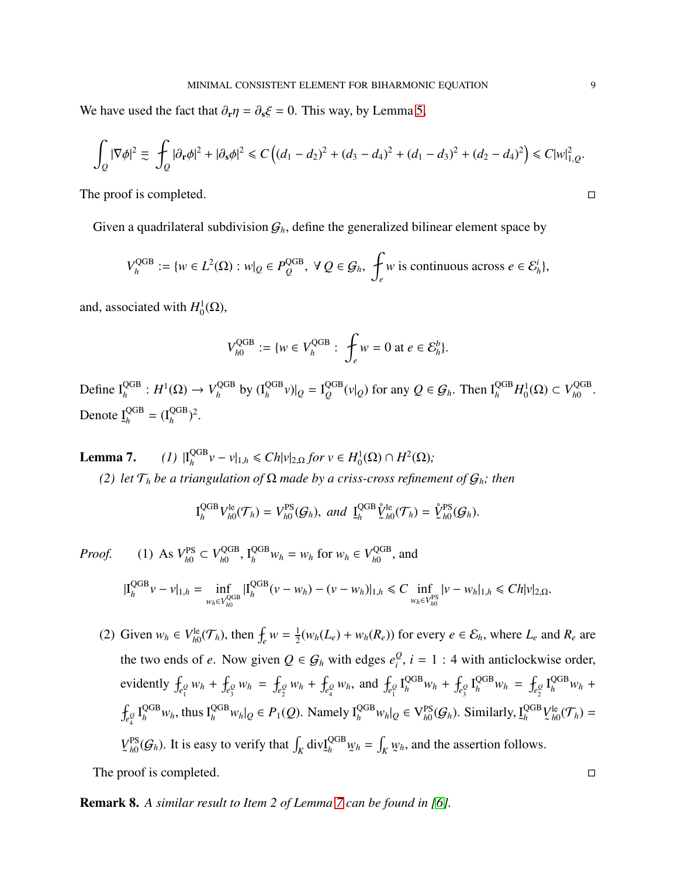We have used the fact that  $\partial_{\bf r} \eta = \partial_{\bf s} \xi = 0$ . This way, by Lemma [5,](#page-7-0)

$$
\int_{Q} |\nabla \phi|^2 \equiv \int_{Q} |\partial_{\mathbf{r}} \phi|^2 + |\partial_{\mathbf{s}} \phi|^2 \leq C \left( (d_1 - d_2)^2 + (d_3 - d_4)^2 + (d_1 - d_3)^2 + (d_2 - d_4)^2 \right) \leq C |w|_{1,Q}^2.
$$

The proof is completed.

Given a quadrilateral subdivision  $G_h$ , define the generalized bilinear element space by

$$
V_h^{\text{QGB}} := \{ w \in L^2(\Omega) : w|_{Q} \in P_Q^{\text{QGB}}, \ \forall \ Q \in \mathcal{G}_h, \ \int_e w \text{ is continuous across } e \in \mathcal{E}_h^i \},
$$

and, associated with  $H_0^1$  $_{0}^{1}(\Omega),$ 

$$
V_{h0}^{\text{QGB}} := \{ w \in V_h^{\text{QGB}} : \int_e w = 0 \text{ at } e \in \mathcal{E}_h^b \}.
$$

Define  $I_h^{\rm QGB}$  :  $H^1(\Omega) \rightarrow V_h^{\rm QGB}$  $\int_h^{\text{QGB}}$  by  $(I_h^{\text{QGB}} v)|_Q = I_Q^{\text{QGB}}$  $Q_Q^{\text{GB}}(v|_Q)$  for any  $Q \in \mathcal{G}_h$ . Then  $I_h^{\text{QGB}}H_0^1$  $V_{h0}^1(\Omega) \subset V_{h0}^{\text{QGB}}$ , <sub>дов</sub><br><sup>h0</sup> Denote I ˜ QGB  $_{h}^{\text{QGB}} = (I_h^{\text{QGB}})^2.$ 

Lemma 7. QGB  $\frac{QGB}{h}$ *ν* − *ν*|<sub>1,*h*</sub> ≤ *Ch*|*v*|<sub>2,Ω</sub> *for ν* ∈ *H*<sub>0</sub><sup>1</sup>  $H^2(\Omega) \cap H^2(\Omega);$ 

*(2) let*  $\mathcal{T}_h$  *be a triangulation of*  $\Omega$  *made by a criss-cross refinement of*  $\mathcal{G}_h$ *; then* 

$$
I_h^{\text{QGB}}V_{h0}^{\text{le}}(\mathcal{T}_h) = V_{h0}^{\text{PS}}(\mathcal{G}_h), \text{ and } \underline{I}_h^{\text{QGB}}\hat{V}_{h0}^{\text{le}}(\mathcal{T}_h) = \hat{V}_{h0}^{\text{PS}}(\mathcal{G}_h).
$$

*Proof.* (1) As 
$$
V_{h0}^{PS} \subset V_{h0}^{QGB}
$$
,  $I_h^{QGB} w_h = w_h$  for  $w_h \in V_{h0}^{QGB}$ , and  

$$
|I_h^{QGB} v - v|_{1,h} = \inf_{w_h \in V_{h0}^{QGB}} |I_h^{QGB} (v - w_h) - (v - w_h)|_{1,h} \le C \inf_{w_h \in V_{h0}^{PS}} |v - w_h|_{1,h} \le C h |v|_{2,\Omega}.
$$

(2) Given  $w_h \in V_{h0}^{\text{le}}$  $f_{h0}^{\text{le}}(\mathcal{T}_h)$ , then  $f_e w = \frac{1}{2}$  $\frac{1}{2}(w_h(L_e) + w_h(R_e))$  for every  $e \in \mathcal{E}_h$ , where  $L_e$  and  $R_e$  are the two ends of *e*. Now given  $Q \in \mathcal{G}_h$  with edges  $e_i^Q$  $\frac{\varrho}{i}$ , *i* = 1 : 4 with anticlockwise order, evidently  $f_{e_1^Q} w_h + f_{e_3^Q} w_h = f_{e_2^Q} w_h + f_{e_4^Q} w_h$ , and  $f_{e_1^Q} \Gamma_h^{\text{QGB}} w_h + f_{e_3^Q} \Gamma_h^{\text{QGB}} w_h = f_{e_2^Q} \Gamma_h^{\text{QGB}} w_h + f_{e_3^Q} \Gamma_h^{\text{QGB}} w_h$  $\oint_{e_4^Q} I_h^{\text{QGB}} w_h$ , thus  $I_h^{\text{QGB}} w_h|_Q \in P_1(Q)$ . Namely  $I_h^{\text{QGB}} w_h|_Q \in V_{h0}^{\text{PS}}$  $_{h0}^{\text{PS}}(\mathcal{G}_h)$ . Similarly, <u>I</u> ˜ QGB *h V* ˜ le  $_{h0}^{le}$  ( $\mathcal{T}_h$ ) = *V* ˜ PS  $\int_{h0}^{PS} (\mathcal{G}_h)$ . It is easy to verify that  $\int_K \text{div} \mathbf{I}$ ˜ QGB *<sup>h</sup> w* ˜  $h = \int_K w$ ˜ *<sup>h</sup>*, and the assertion follows.

The proof is completed.  $\Box$ 

Remark 8. A similar result to Item 2 of Lemma 7 can be found in [\[6\]](#page-18-5).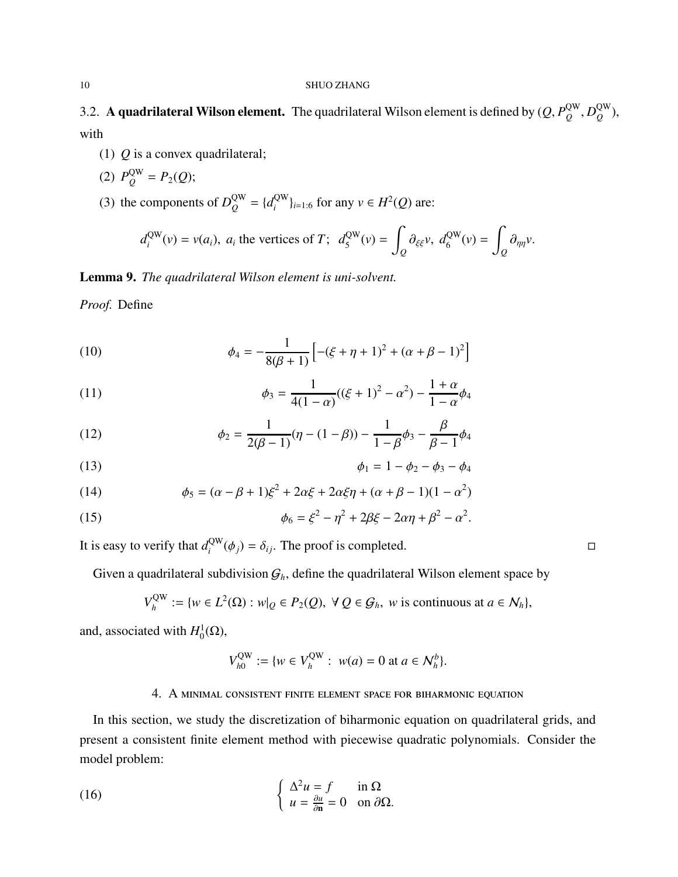<span id="page-9-1"></span>3.2. A quadrilateral Wilson element. The quadrilateral Wilson element is defined by  $(Q, P_Q^{\text{QW}})$  $_Q^{\rm QW}, D_Q^{\rm QW}$ *Q* ), with

- (1) *Q* is a convex quadrilateral;
- (2)  $P_Q^{\text{QW}} = P_2(Q);$

(3) the components of  $D_Q^{\text{QW}} = \{d_i^{\text{QW}}\}$  $\{P_i^{\text{QW}}\}_{i=1:6}$  for any *v* ∈ *H*<sup>2</sup>(*Q*) are:

$$
d_i^{QW}(v) = v(a_i)
$$
,  $a_i$  the vertices of T;  $d_5^{QW}(v) = \int_Q \partial_{\xi\xi} v$ ,  $d_6^{QW}(v) = \int_Q \partial_{\eta\eta} v$ .

Lemma 9. *The quadrilateral Wilson element is uni-solvent.*

*Proof.* Define

(10) 
$$
\phi_4 = -\frac{1}{8(\beta+1)} \left[ -( \xi + \eta + 1)^2 + (\alpha + \beta - 1)^2 \right]
$$

(11) 
$$
\phi_3 = \frac{1}{4(1-\alpha)}((\xi+1)^2 - \alpha^2) - \frac{1+\alpha}{1-\alpha}\phi_4
$$

(12) 
$$
\phi_2 = \frac{1}{2(\beta - 1)}(\eta - (1 - \beta)) - \frac{1}{1 - \beta}\phi_3 - \frac{\beta}{\beta - 1}\phi_4
$$

(13) 
$$
\phi_1 = 1 - \phi_2 - \phi_3 - \phi_4
$$

(14) 
$$
\phi_5 = (\alpha - \beta + 1)\xi^2 + 2\alpha\xi + 2\alpha\xi\eta + (\alpha + \beta - 1)(1 - \alpha^2)
$$

(15) 
$$
\phi_6 = \xi^2 - \eta^2 + 2\beta\xi - 2\alpha\eta + \beta^2 - \alpha^2.
$$

It is easy to verify that  $d_i^{\text{QW}}$  $Q^{\text{QW}}(\phi_j) = \delta_{ij}$ . The proof is completed.

Given a quadrilateral subdivision  $G_h$ , define the quadrilateral Wilson element space by

$$
V_h^{\text{QW}} := \{ w \in L^2(\Omega) : w|_{Q} \in P_2(Q), \ \forall \ Q \in \mathcal{G}_h, \ \text{w is continuous at } a \in \mathcal{N}_h \},
$$

and, associated with  $H_0^1$  $_{0}^{1}(\Omega),$ 

$$
V_{h0}^{\text{QW}} := \{ w \in V_h^{\text{QW}} : w(a) = 0 \text{ at } a \in \mathcal{N}_h^b \}.
$$

# 4. A minimal consistent finite element space for biharmonic equation

<span id="page-9-0"></span>In this section, we study the discretization of biharmonic equation on quadrilateral grids, and present a consistent finite element method with piecewise quadratic polynomials. Consider the model problem:

(16) 
$$
\begin{cases} \Delta^2 u = f & \text{in } \Omega \\ u = \frac{\partial u}{\partial \mathbf{n}} = 0 & \text{on } \partial \Omega. \end{cases}
$$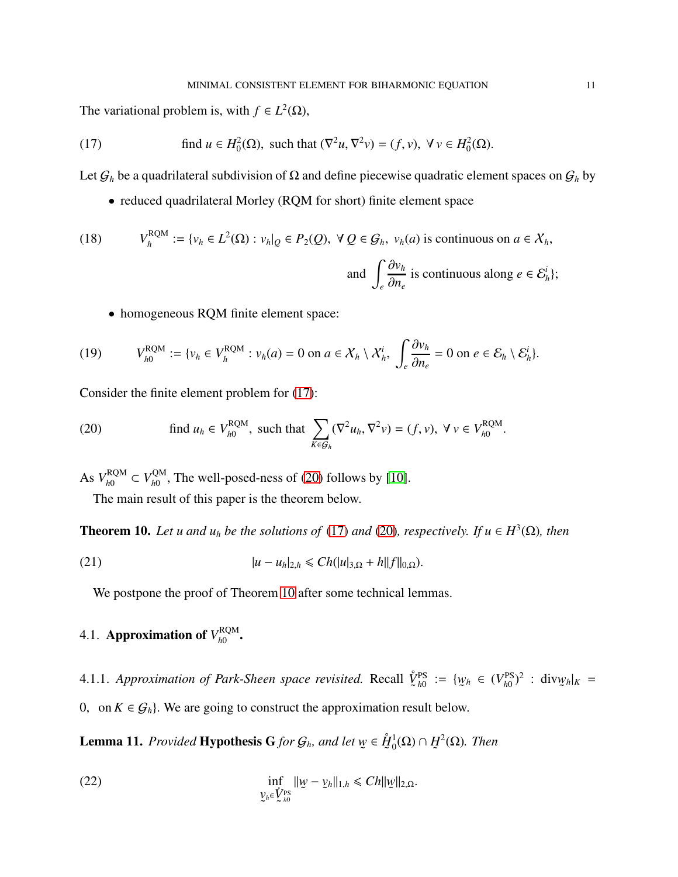The variational problem is, with  $f \in L^2(\Omega)$ ,

(17) find 
$$
u \in H_0^2(\Omega)
$$
, such that  $(\nabla^2 u, \nabla^2 v) = (f, v)$ ,  $\forall v \in H_0^2(\Omega)$ .

Let  $G_h$  be a quadrilateral subdivision of  $\Omega$  and define piecewise quadratic element spaces on  $G_h$  by

<span id="page-10-0"></span>• reduced quadrilateral Morley (RQM for short) finite element space

(18) 
$$
V_h^{\text{RQM}} := \{v_h \in L^2(\Omega) : v_h|_{Q} \in P_2(Q), \ \forall \ Q \in \mathcal{G}_h, \ v_h(a) \text{ is continuous on } a \in \mathcal{X}_h, \}
$$
  
and 
$$
\int_e \frac{\partial v_h}{\partial n_e} \text{ is continuous along } e \in \mathcal{E}_h^i\};
$$

• homogeneous RQM finite element space:

$$
(19) \qquad V_{h0}^{\text{RQM}} := \{v_h \in V_h^{\text{RQM}} : v_h(a) = 0 \text{ on } a \in \mathcal{X}_h \setminus \mathcal{X}_h^i, \ \int_e \frac{\partial v_h}{\partial n_e} = 0 \text{ on } e \in \mathcal{E}_h \setminus \mathcal{E}_h^i\}.
$$

Consider the finite element problem for [\(17\)](#page-10-0):

<span id="page-10-1"></span>(20) find 
$$
u_h \in V_{h0}^{\text{RQM}}
$$
, such that 
$$
\sum_{K \in \mathcal{G}_h} (\nabla^2 u_h, \nabla^2 v) = (f, v), \ \forall \ v \in V_{h0}^{\text{RQM}}.
$$

As  $V_{b0}^{\text{RQM}}$  $V_{h0}^{\text{RQM}} \subset V_{h0}^{\text{QM}}$  $\frac{Q_{\text{M}}}{h_0}$ , The well-posed-ness of [\(20\)](#page-10-1) follows by [\[10\]](#page-18-9).

The main result of this paper is the theorem below.

<span id="page-10-2"></span>**Theorem 10.** Let u and  $u_h$  be the solutions of [\(17\)](#page-10-0) and [\(20\)](#page-10-1), respectively. If  $u \in H^3(\Omega)$ , then

(21) 
$$
|u - u_h|_{2,h} \leq C h(|u|_{3,\Omega} + h||f||_{0,\Omega}).
$$

We postpone the proof of Theorem [10](#page-10-2) after some technical lemmas.

#### 4.1. **Approximation of**  $V_{h0}^{\text{RQM}}$ *h*0 .

4.1.1. *Approximation of Park-Sheen space revisited.* Recall *V*˚ ˜ PS  $_{h0}^{PS}$  := {*w* ˜  $h \in (V_{h0}^{\text{PS}})$  $\frac{\text{PS}}{h0}$ <sup>2</sup> : div $\psi$ ˜  $h|K =$ 0, on  $K \in \mathcal{G}_h$ . We are going to construct the approximation result below.

Lemma 11. *Provided* Hypothesis G *for* G*h, and let w* ˜ ∈ *H*˚ ˜ 1  $_{0}^{1}(\Omega)\cap$  H ˜  $^{2}(\Omega)$ *. Then* 

(22) 
$$
\inf_{\substack{y_h \in V_{h0}^{\text{PS}}}} ||w - y_h||_{1,h} \leq C h ||w||_{2,\Omega}.
$$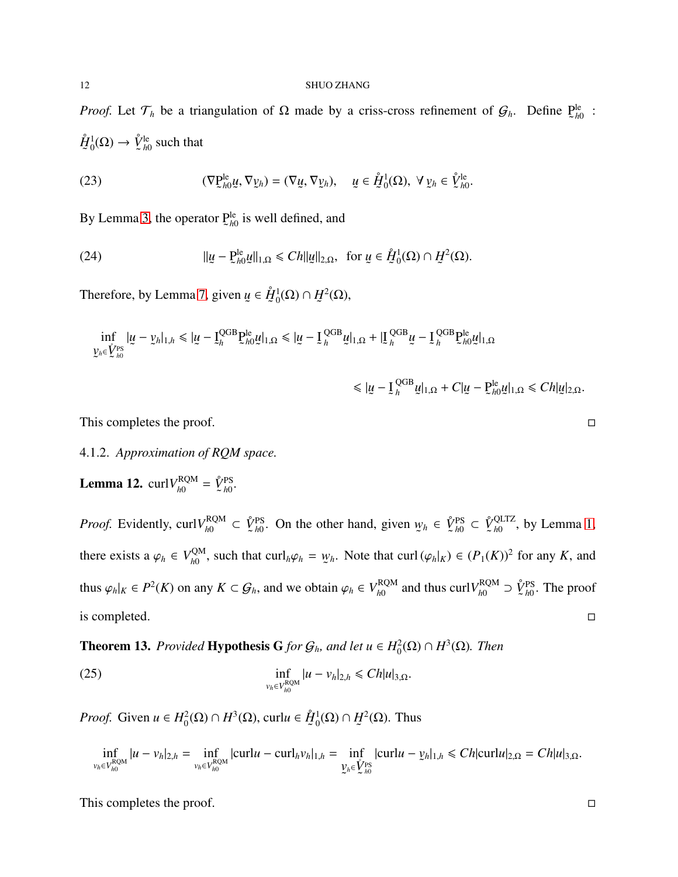*Proof.* Let  $\mathcal{T}_h$  be a triangulation of  $\Omega$  made by a criss-cross refinement of  $\mathcal{G}_h$ . Define P ˜ le *h*0 :  $\mathring{H}$ ˜ 1  ${}^1_0(\Omega) \to \mathring{V}$ ˜ le  $\frac{16}{h0}$  such that

(23) 
$$
(\nabla \underline{\mathbf{P}}_{h0}^{\text{le}} \underline{\mathbf{u}}, \nabla \underline{\mathbf{v}}_h) = (\nabla \underline{\mathbf{u}}, \nabla \underline{\mathbf{v}}_h), \quad \underline{\mathbf{u}} \in \mathring{\underline{\mathbf{H}}}^1_0(\Omega), \ \forall \underline{\mathbf{v}}_h \in \mathring{\mathbf{V}}_{h0}^{\text{le}}.
$$

By Lemma [3,](#page-5-2) the operator  $P$ ˜ le *h*0 is well defined, and

(24) 
$$
\| \underline{u} - \underline{P}_{h0}^{\text{le}} \underline{u} \|_{1,\Omega} \le C h \| \underline{u} \|_{2,\Omega}, \text{ for } \underline{u} \in \mathring{H}_0^1(\Omega) \cap \underline{H}^2(\Omega).
$$

Therefore, by Lemma 7, given *u* ˜ ∈ *H*˚ ˜ 1  $_{0}^{1}(\Omega)\cap\bar{H}% _{0}^{1}(\Omega)$ ˜  $^2(\Omega),$ 

inf *v*  $y_h ∈ \mathring{V}$ ˜ PS *h*0 |*u* ˜ − *v* ˜  $|h|_{1,h} \leq |u|$ ˜ − I ˜ QGB *h* P ˜ le *h*0 *u* ˜  $|_{1,\Omega} \leq |_{\mathcal{U}}$ ˜ − I ˜ QGB  $\frac{QGB}{h}$ и ˜  $|_{1,\Omega}+|_{\mathcal{I}}$ ˜ QGB  $\frac{QGB}{h}$ и ˜  $-\underline{I}$ ˜ QGB *h* P ˜ le  $_{h0}^{le}$ *u* ˜  $|_{1,\Omega}$ 

$$
\leqslant |\underline{u}-\underline{I}_h^{\text{QGB}}\underline{u}|_{1,\Omega}+C|\underline{u}-\underline{P}_{h0}^{\text{le}}\underline{u}|_{1,\Omega}\leqslant Ch|\underline{u}|_{2,\Omega}.
$$

This completes the proof.  $\Box$ 

# 4.1.2. *Approximation of RQM space.*

**Lemma 12.** curl $V_{h0}^{RQM}$  $\frac{d}{d\Omega}$ <sup>RQM</sup> =  $\hat{\underline{V}}$ ˜ PS *h*0 *.*

*Proof.* Evidently, curl $V_{b0}^{RQM}$  $\ell_{h0}^{\text{RQM}} \subset \mathring{V}$ ˜ PS *h*0 . On the other hand, given *w* ˜  $h \in \mathring{V}$ ˜ PS  $\frac{\text{PS}}{h0}$  ⊂  $\hat{\cancel{V}}$ ˜ QLTZ  $_{h0}^{\text{QL12}}$ , by Lemma [1,](#page-4-0) there exists a  $\varphi_h \in V_{h0}^{\text{QM}}$  $\chi_{h0}^{\text{QM}}$ , such that curl<sub>*h*</sub> $\varphi_h = \psi$ ˜ *h*. Note that curl  $(\varphi_h|_K) \in (P_1(K))^2$  for any *K*, and thus  $\varphi_h|_K \in P^2(K)$  on any  $K \subset \mathcal{G}_h$ , and we obtain  $\varphi_h \in V_{h0}^{RQM}$  $_{h0}^{\text{RQM}}$  and thus curl $V_{h0}^{\text{RQM}}$  $\chi_{h0}^{\text{RQM}}$  ⊃  $\overset{\circ}{\mathcal{V}}$ ˜ PS  $\frac{PS}{h0}$ . The proof is completed.  $\Box$ 

<span id="page-11-0"></span>**Theorem 13.** *Provided* **Hypothesis G** *for*  $G_h$ *, and let*  $u \in H_0^2(\Omega) \cap H^3(\Omega)$ *. Then* 

(25) 
$$
\inf_{v_h \in V_{h0}^{RQM}} |u - v_h|_{2,h} \leq C h |u|_{3,\Omega}.
$$

*Proof.* Given  $u \in H_0^2$  $\mathcal{L}_0^2$ (Ω) ∩  $H^3$ (Ω), curl*u* ∈  $\mathring{H}$ ˜ 1  $_{0}^{1}(\Omega)\cap\bar{H}% _{0}^{1}(\Omega)$ ˜  $^{2}(\Omega)$ . Thus

$$
\inf_{v_h \in V_{h0}^{\text{ROM}}} |u - v_h|_{2,h} = \inf_{v_h \in V_{h0}^{\text{ROM}}} |\text{curl} u - \text{curl}_h v_h|_{1,h} = \inf_{\substack{v_h \in \hat{V}_{h0}^{\text{PS}}} |\text{curl} u - v_h|_{1,h} \leq C h |\text{curl} u|_{2,\Omega} = C h |u|_{3,\Omega}.
$$

This completes the proof.  $\Box$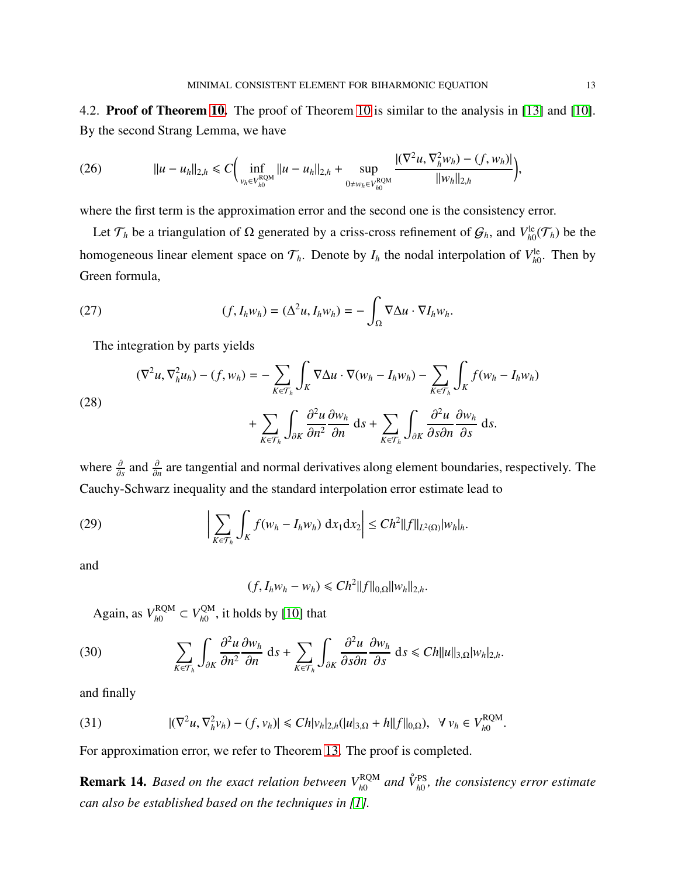4.2. Proof of Theorem [10.](#page-10-2) The proof of Theorem [10](#page-10-2) is similar to the analysis in [\[13\]](#page-18-16) and [\[10\]](#page-18-9). By the second Strang Lemma, we have

(26) 
$$
||u - u_h||_{2,h} \leq C \Big( \inf_{\substack{v_h \in V_{h0}^{RQM} \\ v_h \in V_{h0}^{ROM}}} ||u - u_h||_{2,h} + \sup_{0 \neq w_h \in V_{h0}^{RQM}} \frac{|(\nabla^2 u, \nabla^2_h w_h) - (f, w_h)|}{||w_h||_{2,h}} \Big),
$$

where the first term is the approximation error and the second one is the consistency error.

Let  $\mathcal{T}_h$  be a triangulation of  $\Omega$  generated by a criss-cross refinement of  $\mathcal{G}_h$ , and  $V^{\text{le}}_{h}$  $h_0^{\text{le}}(\mathcal{T}_h)$  be the homogeneous linear element space on  $\mathcal{T}_h$ . Denote by  $I_h$  the nodal interpolation of  $V_{h0}^{\text{le}}$  $h_{h0}^{\text{le}}$ . Then by Green formula,

(27) 
$$
(f, I_h w_h) = (\Delta^2 u, I_h w_h) = -\int_{\Omega} \nabla \Delta u \cdot \nabla I_h w_h.
$$

The integration by parts yields

(28)  
\n
$$
(\nabla^2 u, \nabla_h^2 u_h) - (f, w_h) = -\sum_{K \in \mathcal{T}_h} \int_K \nabla \Delta u \cdot \nabla (w_h - I_h w_h) - \sum_{K \in \mathcal{T}_h} \int_K f(w_h - I_h w_h)
$$
\n
$$
+ \sum_{K \in \mathcal{T}_h} \int_{\partial K} \frac{\partial^2 u}{\partial n^2} \frac{\partial w_h}{\partial n} ds + \sum_{K \in \mathcal{T}_h} \int_{\partial K} \frac{\partial^2 u}{\partial s \partial n} \frac{\partial w_h}{\partial s} ds.
$$

where  $\frac{\partial}{\partial s}$  and  $\frac{\partial}{\partial n}$  are tangential and normal derivatives along element boundaries, respectively. The Cauchy-Schwarz inequality and the standard interpolation error estimate lead to

(29) 
$$
\left|\sum_{K\in\mathcal{T}_h}\int_K f(w_h-I_hw_h)\ dx_1\ dx_2\right|\leq Ch^2||f||_{L^2(\Omega)}|w_h|_h.
$$

and

$$
(f, I_h w_h - w_h) \leq C h^2 ||f||_{0,\Omega} ||w_h||_{2,h}.
$$

Again, as  $V_{h0}^{\text{RQM}}$  $V_{h0}^{\text{ROM}} \subset V_{h0}^{\text{QM}}$  $\frac{dN}{dN}$ , it holds by [\[10\]](#page-18-9) that

(30) 
$$
\sum_{K\in\mathcal{T}_h}\int_{\partial K}\frac{\partial^2 u}{\partial n^2}\frac{\partial w_h}{\partial n} ds + \sum_{K\in\mathcal{T}_h}\int_{\partial K}\frac{\partial^2 u}{\partial s\partial n}\frac{\partial w_h}{\partial s} ds \leq Ch||u||_{3,\Omega}|w_h|_{2,h}.
$$

and finally

(31) 
$$
|(\nabla^2 u, \nabla_h^2 v_h) - (f, v_h)| \leq C h |v_h|_{2,h} (|u|_{3,\Omega} + h ||f||_{0,\Omega}), \quad \forall \ v_h \in V_{h0}^{\text{ROM}}.
$$

For approximation error, we refer to Theorem [13.](#page-11-0) The proof is completed.

**Remark 14.** *Based on the exact relation between*  $V_{h0}^{RQM}$  and  $\hat{V}_{h0}^{PS}$ , the consistency error estimate *can also be established based on the techniques in [\[1\]](#page-18-13).*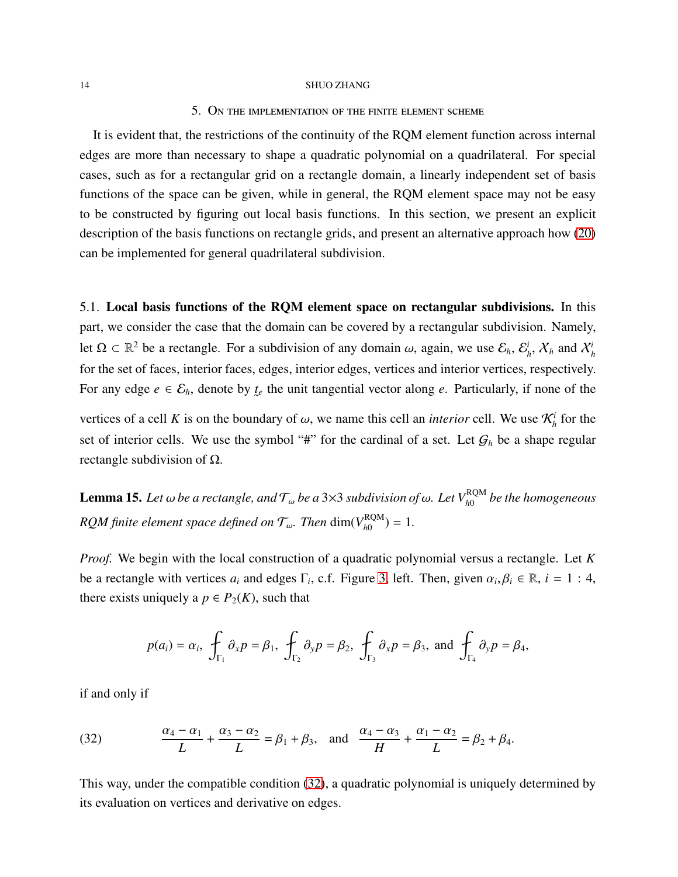## 5. On the implementation of the finite element scheme

<span id="page-13-0"></span>It is evident that, the restrictions of the continuity of the RQM element function across internal edges are more than necessary to shape a quadratic polynomial on a quadrilateral. For special cases, such as for a rectangular grid on a rectangle domain, a linearly independent set of basis functions of the space can be given, while in general, the RQM element space may not be easy to be constructed by figuring out local basis functions. In this section, we present an explicit description of the basis functions on rectangle grids, and present an alternative approach how [\(20\)](#page-10-1) can be implemented for general quadrilateral subdivision.

5.1. Local basis functions of the RQM element space on rectangular subdivisions. In this part, we consider the case that the domain can be covered by a rectangular subdivision. Namely, let  $\Omega \subset \mathbb{R}^2$  be a rectangle. For a subdivision of any domain  $\omega$ , again, we use  $\mathcal{E}_h$ ,  $\mathcal{E}_h^i$  $\chi^i_h$ ,  $\chi^i_h$  and  $\chi^i_h$ for the set of faces, interior faces, edges, interior edges, vertices and interior vertices, respectively. For any edge  $e \in \mathcal{E}_h$ , denote by  $\underline{t}$  $t_e$  the unit tangential vector along  $e$ . Particularly, if none of the

vertices of a cell K is on the boundary of  $\omega$ , we name this cell an *interior* cell. We use  $\mathcal{K}_h^i$  for the set of interior cells. We use the symbol "#" for the cardinal of a set. Let  $G_h$  be a shape regular rectangle subdivision of  $Ω$ .

 ${\bf Lemma~15.}$  *Let*  $\omega$  *be a rectangle, and*  ${\cal T}_\omega$  *be a* 3×3 *subdivision of*  $\omega$ *. Let*  $V_{h0}^{\rm RQM}$  *be the homogeneous RQM finite element space defined on*  $\mathcal{T}_{\omega}$ . *Then* dim( $V_{h0}^{\text{RQM}}$  $\binom{RQM}{h0} = 1.$ 

*Proof.* We begin with the local construction of a quadratic polynomial versus a rectangle. Let *K* be a rectangle with vertices  $a_i$  and edges  $\Gamma_i$ , c.f. Figure [3,](#page-14-0) left. Then, given  $\alpha_i, \beta_i \in \mathbb{R}$ ,  $i = 1 : 4$ , there exists uniquely a  $p \in P_2(K)$ , such that

$$
p(a_i) = \alpha_i
$$
,  $\oint_{\Gamma_1} \partial_x p = \beta_1$ ,  $\oint_{\Gamma_2} \partial_y p = \beta_2$ ,  $\oint_{\Gamma_3} \partial_x p = \beta_3$ , and  $\oint_{\Gamma_4} \partial_y p = \beta_4$ ,

if and only if

<span id="page-13-1"></span>(32) 
$$
\frac{\alpha_4 - \alpha_1}{L} + \frac{\alpha_3 - \alpha_2}{L} = \beta_1 + \beta_3, \text{ and } \frac{\alpha_4 - \alpha_3}{H} + \frac{\alpha_1 - \alpha_2}{L} = \beta_2 + \beta_4.
$$

This way, under the compatible condition [\(32\)](#page-13-1), a quadratic polynomial is uniquely determined by its evaluation on vertices and derivative on edges.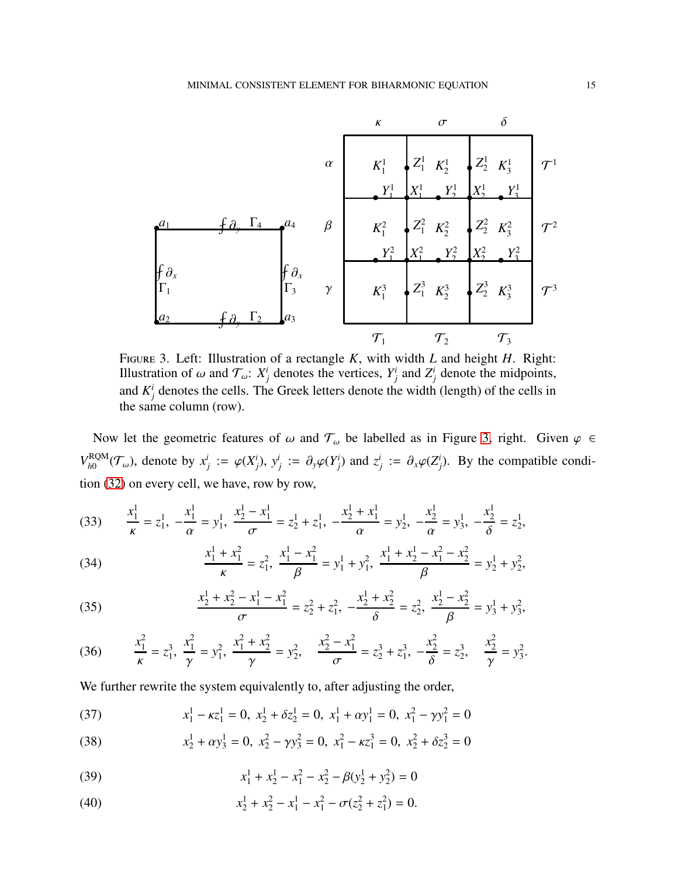

<span id="page-14-0"></span>Figure 3. Left: Illustration of a rectangle *K*, with width *L* and height *H*. Right: Illustration of  $\omega$  and  $\mathcal{T}_{\omega}$ :  $X_j^i$  denotes the vertices,  $Y_j^i$  and  $Z_j^i$  denote the midpoints, and  $K_j^i$  denotes the cells. The Greek letters denote the width (length) of the cells in the same column (row).

Now let the geometric features of  $\omega$  and  $\mathcal{T}_{\omega}$  be labelled as in Figure [3,](#page-14-0) right. Given  $\varphi \in$  $V_{b0}^{\text{RQM}}$  ${}_{h0}^{RQM}(\mathcal{T}_{\omega})$ , denote by  $x_j^i := \varphi(X_j^i)$ ,  $y_j^i := \partial_y \varphi(Y_j^i)$  and  $z_j^i := \partial_x \varphi(Z_j^i)$ . By the compatible condition [\(32\)](#page-13-1) on every cell, we have, row by row,

(33) 
$$
\frac{x_1^1}{\kappa} = z_1^1, -\frac{x_1^1}{\alpha} = y_1^1, \frac{x_2^1 - x_1^1}{\sigma} = z_2^1 + z_1^1, -\frac{x_2^1 + x_1^1}{\alpha} = y_2^1, -\frac{x_2^1}{\alpha} = y_3^1, -\frac{x_2^1}{\delta} = z_2^1,
$$

(34) 
$$
\frac{x_1^1 + x_1^2}{\kappa} = z_1^2, \quad \frac{x_1^1 - x_1^2}{\beta} = y_1^1 + y_1^2, \quad \frac{x_1^1 + x_2^1 - x_1^2 - x_2^2}{\beta} = y_2^1 + y_2^2,
$$

(35) 
$$
\frac{x_2^1 + x_2^2 - x_1^1 - x_1^2}{\sigma} = z_2^2 + z_1^2, \quad -\frac{x_2^1 + x_2^2}{\delta} = z_2^2, \quad \frac{x_2^1 - x_2^2}{\beta} = y_3^1 + y_3^2,
$$

(36) 
$$
\frac{x_1^2}{\kappa} = z_1^3, \ \frac{x_1^2}{\gamma} = y_1^2, \ \frac{x_1^2 + x_2^2}{\gamma} = y_2^2, \ \frac{x_2^2 - x_1^2}{\sigma} = z_2^3 + z_1^3, \ -\frac{x_2^2}{\delta} = z_2^3, \ \frac{x_2^2}{\gamma} = y_3^2.
$$

We further rewrite the system equivalently to, after adjusting the order,

(37) 
$$
x_1^1 - \kappa z_1^1 = 0, \ x_2^1 + \delta z_2^1 = 0, \ x_1^1 + \alpha y_1^1 = 0, \ x_1^2 - \gamma y_1^2 = 0
$$

(38) 
$$
x_2^1 + \alpha y_3^1 = 0, \ x_2^2 - \gamma y_3^2 = 0, \ x_1^2 - \kappa z_1^3 = 0, \ x_2^2 + \delta z_2^3 = 0
$$

<span id="page-14-1"></span>(39) 
$$
x_1^1 + x_2^1 - x_1^2 - x_2^2 - \beta(y_2^1 + y_2^2) = 0
$$

(40) 
$$
x_2^1 + x_2^2 - x_1^1 - x_1^2 - \sigma(z_2^2 + z_1^2) = 0.
$$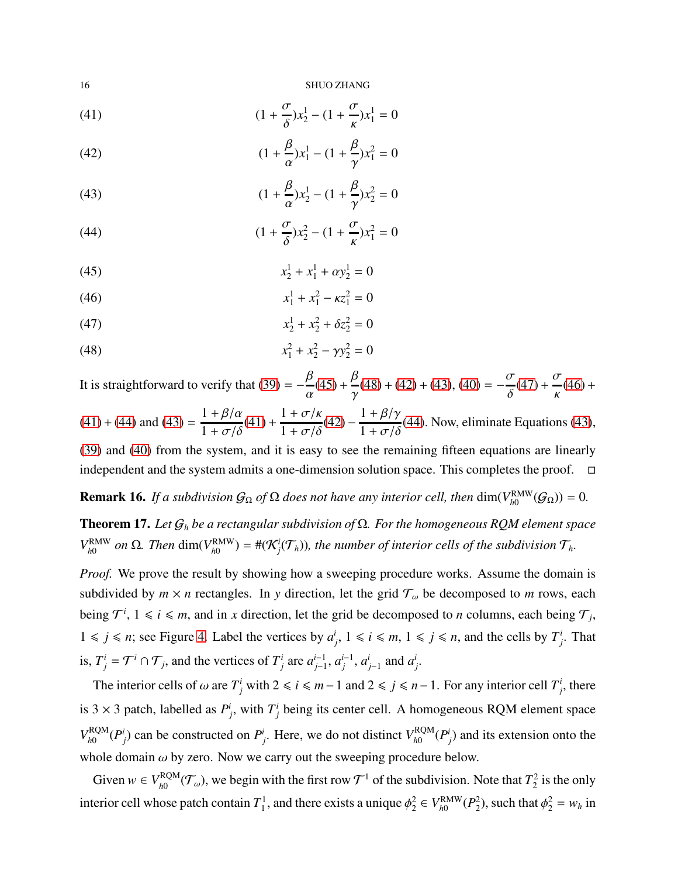<span id="page-15-1"></span>(41) 
$$
(1 + \frac{\sigma}{\delta})x_2^1 - (1 + \frac{\sigma}{\kappa})x_1^1 = 0
$$

(42) 
$$
(1 + \frac{\beta}{\alpha})x_1^1 - (1 + \frac{\beta}{\gamma})x_1^2 = 0
$$

(43) 
$$
(1 + \frac{\beta}{\alpha})x_2^1 - (1 + \frac{\beta}{\gamma})x_2^2 = 0
$$

(44) 
$$
(1 + \frac{\sigma}{\delta})x_2^2 - (1 + \frac{\sigma}{\kappa})x_1^2 = 0
$$

<span id="page-15-0"></span>(45) 
$$
x_2^1 + x_1^1 + \alpha y_2^1 = 0
$$

$$
(46) \t\t\t x_1^1 + x_1^2 - \kappa z_1^2 = 0
$$

$$
(47) \t\t\t x_2^1 + x_2^2 + \delta z_2^2 = 0
$$

(48) 
$$
x_1^2 + x_2^2 - \gamma y_2^2 = 0
$$

It is straightforward to verify that [\(39\)](#page-14-1) =  $-\frac{\beta}{\beta}$ α  $(45) + \frac{\beta}{2}$  $(45) + \frac{\beta}{2}$ γ  $(48) + (42) + (43), (40) = -\frac{\sigma}{s}$  $(48) + (42) + (43), (40) = -\frac{\sigma}{s}$  $(48) + (42) + (43), (40) = -\frac{\sigma}{s}$  $(48) + (42) + (43), (40) = -\frac{\sigma}{s}$  $(48) + (42) + (43), (40) = -\frac{\sigma}{s}$  $(48) + (42) + (43), (40) = -\frac{\sigma}{s}$  $(48) + (42) + (43), (40) = -\frac{\sigma}{s}$  $(48) + (42) + (43), (40) = -\frac{\sigma}{s}$ δ  $(47) + \frac{\sigma}{4}$  $(47) + \frac{\sigma}{4}$ κ  $(46) +$  $(46) +$ 

 $(41) + (44)$  $(41) + (44)$  $(41) + (44)$  and  $(43) =$  $1 + \beta/\alpha$  $1 + \sigma/\delta$  $(41) +$  $(41) +$  $1 + \sigma/\kappa$  $1 + \sigma/\delta$  $(42) (42) 1 + \beta/\gamma$  $\frac{1+\rho/7}{1+\sigma/\delta}$ [\(44\)](#page-15-1). Now, eliminate Equations [\(43\)](#page-15-1),

[\(39\)](#page-14-1) and [\(40\)](#page-14-1) from the system, and it is easy to see the remaining fifteen equations are linearly independent and the system admits a one-dimension solution space. This completes the proof.  $\Box$ 

<span id="page-15-2"></span>**Remark 16.** *If a subdivision*  $G_{\Omega}$  *of*  $\Omega$  *does not have any interior cell, then* dim( $V_{h0}^{\text{RMW}}$  $f_{h0}^{\text{RMW}}(\mathcal{G}_{\Omega})) = 0.$ 

Theorem 17. *Let* G*<sup>h</sup> be a rectangular subdivision of* Ω*. For the homogeneous RQM element space V* RMW  $_{h0}^{RMW}$  *on* Ω. *Then* dim( $V_{h0}^{RMW}$  $H_{h0}^{(\text{RMW})}$  = # $(\mathcal{K}^i_j(\mathcal{T}_h))$ , the number of interior cells of the subdivision  $\mathcal{T}_h$ *.* 

*Proof.* We prove the result by showing how a sweeping procedure works. Assume the domain is subdivided by  $m \times n$  rectangles. In y direction, let the grid  $\mathcal{T}_{\omega}$  be decomposed to *m* rows, each being  $\mathcal{T}^i$ ,  $1 \leq i \leq m$ , and in *x* direction, let the grid be decomposed to *n* columns, each being  $\mathcal{T}_j$ ,  $1 \le j \le n$ ; see Figure [4.](#page-16-0) Label the vertices by  $a^i$  $j$ ,  $1 \le i \le m$ ,  $1 \le j \le n$ , and the cells by  $T^i_j$ *j* . That is,  $T_j^i = \mathcal{T}^i \cap \mathcal{T}_j$ , and the vertices of  $T_j^i$  are  $a_{j-1}^{i-1}$ *j*−1, *a*<sup>*i*</sup><sub>*j*</sub><sup>-1</sup>, *a*<sup>*i*</sup><sub>*j*</sub>-1</sup> and *a<sup><i>i*</sup><sub>*j*</sub>.

The interior cells of  $\omega$  are  $T^i_j$  with  $2 \le i \le m-1$  and  $2 \le j \le n-1$ . For any interior cell  $T^i_j$  $i_j$ , there is 3  $\times$  3 patch, labelled as  $P^i_j$ , with  $T^i_j$  being its center cell. A homogeneous RQM element space  $V_{b0}^{\text{RQM}}$  $\binom{RQM}{h0}$  *(P<sub>i</sub>)*</sub> can be constructed on *P<sub>i</sub>*. Here, we do not distinct  $V_{h0}^{RQM}$  $\binom{RQM}{h0}$  *(P<sub>i</sub>*) and its extension onto the whole domain  $\omega$  by zero. Now we carry out the sweeping procedure below.

Given  $w \in V_{b0}^{\text{RQM}}$  $\frac{RQM}{h0}(\mathcal{T}_{\omega})$ , we begin with the first row  $\mathcal{T}^1$  of the subdivision. Note that  $T_2^2$  $2<sub>2</sub>$  is the only interior cell whose patch contain  $T_1^1$ , and there exists a unique  $\phi_2^2 \in V_{h0}^{\text{RMW}}$  $_{h0}^{\text{RMW}}(P_2^2)$ , such that  $\phi_2^2 = w_h$  in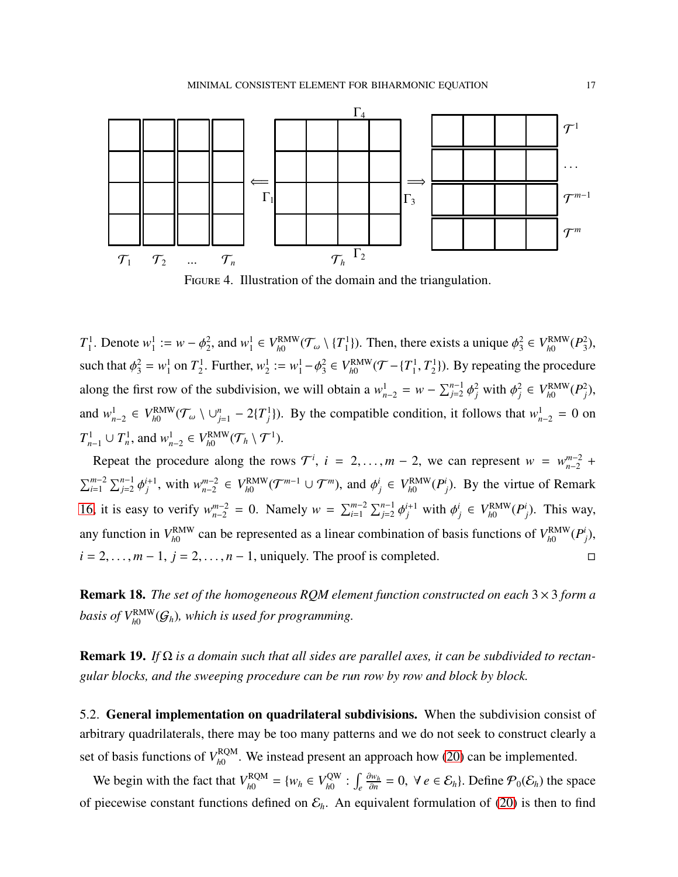

<span id="page-16-0"></span>Figure 4. Illustration of the domain and the triangulation.

 $T^1_{\scriptscriptstyle{1}}$  $v_1^1$ . Denote  $w_1^1$  $j_1^1 := w - \phi_2^2$  $2^2$ , and  $w_1^1$  $^{1}_{1} \in V^{\text{RMW}}_{h0}$  $\frac{r_{\rm RMW}}{h0}$ ( ${\cal T}_\omega \setminus \{ T_1^1 \}$  $\binom{1}{1}$ ). Then, there exists a unique  $\phi_3^2$  $^{2}_{3} \in V_{h0}^{\rm RMW}$ *h*0 (*P* 2  $\binom{2}{3}$ , such that  $\phi_3^2 = w_1^1$  $_1^1$  on  $T_2^1$ <sup>1</sup><sub>2</sub>. Further,  $w_2^1$  $2^1 := w_1^1 - \phi_3^2$  $^{2}_{3} \in V_{h0}^{\rm RMW}$  $T_{h0}^{\text{RMW}}(T - \{T_1^1\})$  $T^1_1, T^1_2$  $2^1$ ). By repeating the procedure along the first row of the subdivision, we will obtain a  $w_{n-2}^1 = w - \sum_{j=2}^{n-1} \phi_j^2$  with  $\phi_j^2 \in V_{h0}^{RMW}$  $_{h0}^{\text{RMW}}(P_j^2)$ , and  $w_{n-2}^1$  ∈  $V_{h0}^{\text{RMW}}$  $\lim_{h \to 0} (T_\omega \setminus \cup_{j=1}^n -2\{T_j^1\})$ . By the compatible condition, it follows that  $w_{n-2}^1 = 0$  on  $T_{n-1}^1 \cup T_n^1$ , and  $w_{n-2}^1 \in V_{h0}^{\text{RMW}}$  $f_{h0}^{\text{RMW}}(\mathcal{T}_h \setminus \mathcal{T}^1).$ 

Repeat the procedure along the rows  $\mathcal{T}^i$ ,  $i = 2, ..., m - 2$ , we can represent  $w = w_{n-2}^{m-2}$  +  $\sum_{i=1}^{m-2} \sum_{j=2}^{n-1} \phi_j^{i+1}$ , with  $w_{n-2}^{m-2}$  $_{n-2}^{m-2}$  ∈  $V_{h0}^{\rm RMW}$  $\mathcal{F}_{h0}^{\text{RMW}}(\mathcal{T}^{m-1} \cup \mathcal{T}^m)$ , and  $\phi_j^i \in V_{h0}^{\text{RMW}}$  $_{h0}^{\text{RMW}}(P_j^i)$ . By the virtue of Remark [16,](#page-15-2) it is easy to verify  $w_{n-2}^{m-2} = 0$ . Namely  $w = \sum_{i=1}^{m-2} \sum_{j=2}^{n-1} \phi_j^{i+1}$  with  $\phi_j^i$  ∈  $V_{h0}^{\text{RMW}}$  $_{h0}^{\text{RMW}}(P_j^i)$ . This way, any function in  $V_{h0}^{\text{RMW}}$  $_{h0}^{\text{RAW}}$  can be represented as a linear combination of basis functions of  $V_{h0}^{\text{RAW}}$ *h*0 (*P i j* ),  $i = 2, \ldots, m-1$ ,  $j = 2, \ldots, n-1$ , uniquely. The proof is completed.

Remark 18. *The set of the homogeneous RQM element function constructed on each* 3 × 3 *form a* basis of  $V^{\text{RMW}}_{h0}(\mathcal{G}_h)$ , which is used for programming.

Remark 19. *If* Ω *is a domain such that all sides are parallel axes, it can be subdivided to rectangular blocks, and the sweeping procedure can be run row by row and block by block.*

5.2. General implementation on quadrilateral subdivisions. When the subdivision consist of arbitrary quadrilaterals, there may be too many patterns and we do not seek to construct clearly a set of basis functions of  $V_{h0}^{RQM}$  $h_0^{RQM}$ . We instead present an approach how [\(20\)](#page-10-1) can be implemented.

We begin with the fact that  $V_{h0}^{RQM}$  $V_{h0}^{\text{RQM}} = \{w_h \in V_{h0}^{\text{QW}}\}$ <sup>-QW</sup> :  $\int_e$ ∂*w<sup>h</sup>*  $\frac{\partial w_h}{\partial n}$  = 0, ∀ *e* ∈  $\mathcal{E}_h$ . Define  $\mathcal{P}_0(\mathcal{E}_h)$  the space of piecewise constant functions defined on  $\mathcal{E}_h$ . An equivalent formulation of [\(20\)](#page-10-1) is then to find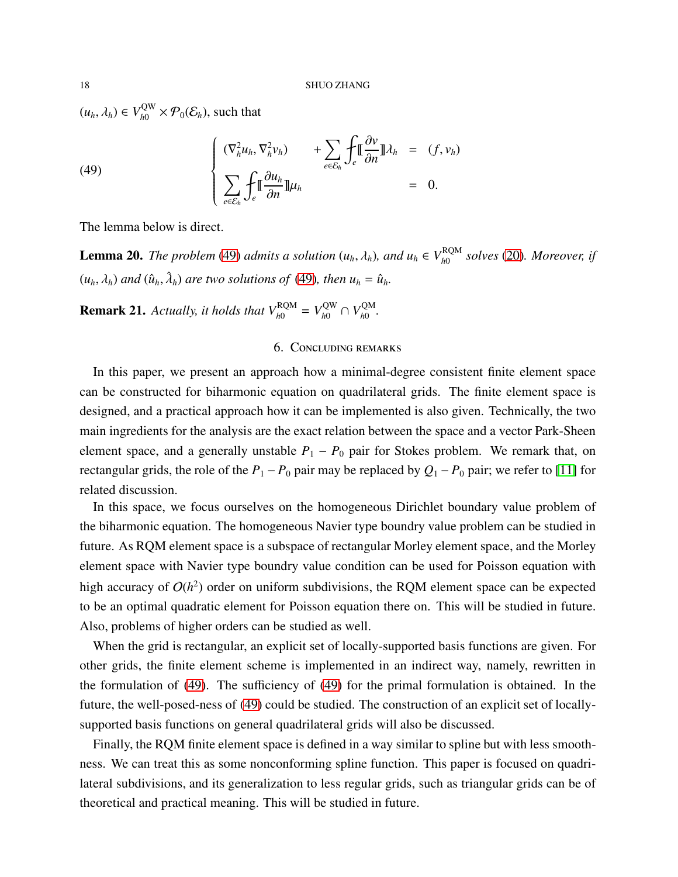$(u_h, \lambda_h) \in V_{h0}^{\text{QW}}$  $\mathcal{P}_h^{\text{QW}} \times \mathcal{P}_0(\mathcal{E}_h)$ , such that

<span id="page-17-1"></span>(49) 
$$
\begin{cases} (\nabla_h^2 u_h, \nabla_h^2 v_h) + \sum_{e \in \mathcal{E}_h} \int_e \llbracket \frac{\partial v}{\partial n} \rrbracket \lambda_h = (f, v_h) \\ \sum_{e \in \mathcal{E}_h} \int_e \llbracket \frac{\partial u_h}{\partial n} \rrbracket \mu_h = 0. \end{cases}
$$

The lemma below is direct.

**Lemma 20.** *The problem* [\(49\)](#page-17-1) *admits a solution* ( $u_h$ ,  $\lambda_h$ ), and  $u_h \in V_{h0}^{RQM}$ *h*0 *solves* [\(20\)](#page-10-1)*. Moreover, if*  $(u_h, \lambda_h)$  and  $(\hat{u}_h, \hat{\lambda}_h)$  are two solutions of [\(49\)](#page-17-1), then  $u_h = \hat{u}_h$ .

<span id="page-17-0"></span>**Remark 21.** Actually, it holds that  $V_{h0}^{RQM} = V_{h0}^{QW} \cap V_{h0}^{QM}$ *h*0 *.*

# 6. Concluding remarks

In this paper, we present an approach how a minimal-degree consistent finite element space can be constructed for biharmonic equation on quadrilateral grids. The finite element space is designed, and a practical approach how it can be implemented is also given. Technically, the two main ingredients for the analysis are the exact relation between the space and a vector Park-Sheen element space, and a generally unstable  $P_1 - P_0$  pair for Stokes problem. We remark that, on rectangular grids, the role of the  $P_1 - P_0$  pair may be replaced by  $Q_1 - P_0$  pair; we refer to [\[11\]](#page-18-14) for related discussion.

In this space, we focus ourselves on the homogeneous Dirichlet boundary value problem of the biharmonic equation. The homogeneous Navier type boundry value problem can be studied in future. As RQM element space is a subspace of rectangular Morley element space, and the Morley element space with Navier type boundry value condition can be used for Poisson equation with high accuracy of  $O(h^2)$  order on uniform subdivisions, the RQM element space can be expected to be an optimal quadratic element for Poisson equation there on. This will be studied in future. Also, problems of higher orders can be studied as well.

When the grid is rectangular, an explicit set of locally-supported basis functions are given. For other grids, the finite element scheme is implemented in an indirect way, namely, rewritten in the formulation of [\(49\)](#page-17-1). The sufficiency of [\(49\)](#page-17-1) for the primal formulation is obtained. In the future, the well-posed-ness of [\(49\)](#page-17-1) could be studied. The construction of an explicit set of locallysupported basis functions on general quadrilateral grids will also be discussed.

Finally, the RQM finite element space is defined in a way similar to spline but with less smoothness. We can treat this as some nonconforming spline function. This paper is focused on quadrilateral subdivisions, and its generalization to less regular grids, such as triangular grids can be of theoretical and practical meaning. This will be studied in future.